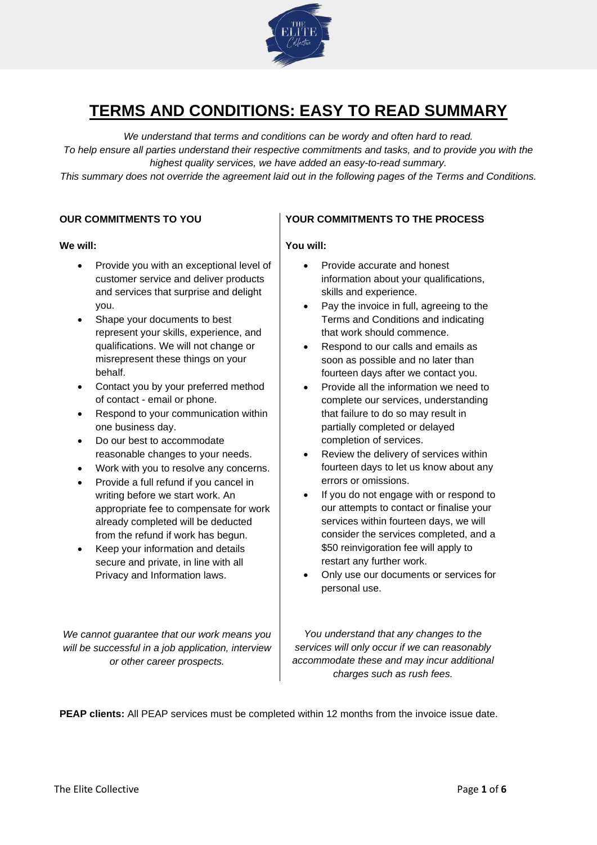

# **TERMS AND CONDITIONS: EASY TO READ SUMMARY**

*We understand that terms and conditions can be wordy and often hard to read. To help ensure all parties understand their respective commitments and tasks, and to provide you with the highest quality services, we have added an easy-to-read summary.* 

*This summary does not override the agreement laid out in the following pages of the Terms and Conditions.*

#### **We will:**

- Provide you with an exceptional level of customer service and deliver products and services that surprise and delight you.
- Shape your documents to best represent your skills, experience, and qualifications. We will not change or misrepresent these things on your behalf.
- Contact you by your preferred method of contact - email or phone.
- Respond to your communication within one business day.
- Do our best to accommodate reasonable changes to your needs.
- Work with you to resolve any concerns.
- Provide a full refund if you cancel in writing before we start work. An appropriate fee to compensate for work already completed will be deducted from the refund if work has begun.
- Keep your information and details secure and private, in line with all Privacy and Information laws.

*We cannot guarantee that our work means you will be successful in a job application, interview or other career prospects.*

# **OUR COMMITMENTS TO YOU YOUR COMMITMENTS TO THE PROCESS**

# **You will:**

- Provide accurate and honest information about your qualifications, skills and experience.
- Pay the invoice in full, agreeing to the Terms and Conditions and indicating that work should commence.
- Respond to our calls and emails as soon as possible and no later than fourteen days after we contact you.
- Provide all the information we need to complete our services, understanding that failure to do so may result in partially completed or delayed completion of services.
- Review the delivery of services within fourteen days to let us know about any errors or omissions.
- If you do not engage with or respond to our attempts to contact or finalise your services within fourteen days, we will consider the services completed, and a \$50 reinvigoration fee will apply to restart any further work.
- Only use our documents or services for personal use.

*You understand that any changes to the services will only occur if we can reasonably accommodate these and may incur additional charges such as rush fees.*

**PEAP clients:** All PEAP services must be completed within 12 months from the invoice issue date.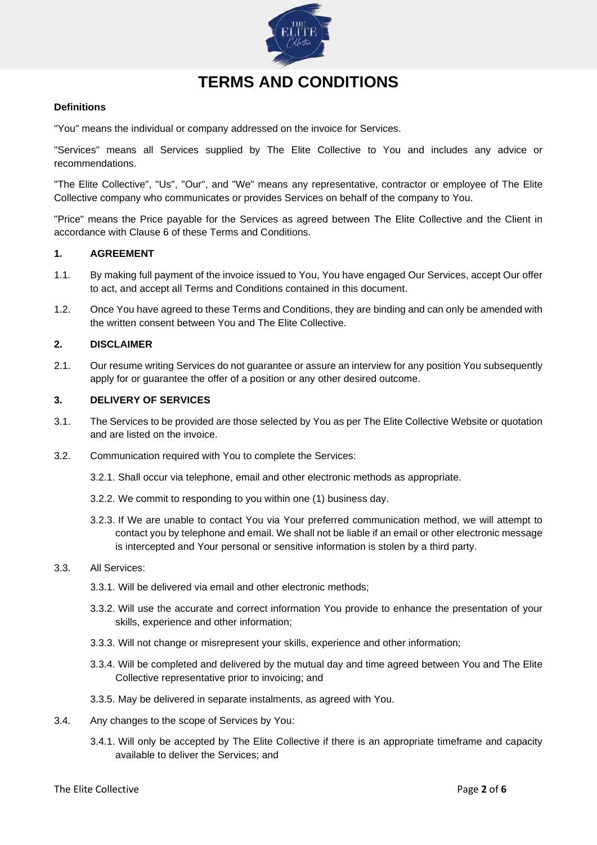

# **TERMS AND CONDITIONS**

### **Definitions**

"You" means the individual or company addressed on the invoice for Services.

"Services" means all Services supplied by The Elite Collective to You and includes any advice or recommendations.

"The Elite Collective", "Us", "Our", and "We" means any representative, contractor or employee of The Elite Collective company who communicates or provides Services on behalf of the company to You.

"Price" means the Price payable for the Services as agreed between The Elite Collective and the Client in accordance with Clause 6 of these Terms and Conditions.

#### **1. AGREEMENT**

- 1.1. By making full payment of the invoice issued to You, You have engaged Our Services, accept Our offer to act, and accept all Terms and Conditions contained in this document.
- 1.2. Once You have agreed to these Terms and Conditions, they are binding and can only be amended with the written consent between You and The Elite Collective.

#### **2. DISCLAIMER**

2.1. Our resume writing Services do not guarantee or assure an interview for any position You subsequently apply for or guarantee the offer of a position or any other desired outcome.

#### **3. DELIVERY OF SERVICES**

- 3.1. The Services to be provided are those selected by You as per The Elite Collective Website or quotation and are listed on the invoice.
- 3.2. Communication required with You to complete the Services:
	- 3.2.1. Shall occur via telephone, email and other electronic methods as appropriate.
	- 3.2.2. We commit to responding to you within one (1) business day.
	- 3.2.3. If We are unable to contact You via Your preferred communication method, we will attempt to contact you by telephone and email. We shall not be liable if an email or other electronic message is intercepted and Your personal or sensitive information is stolen by a third party.

#### 3.3. All Services:

- 3.3.1. Will be delivered via email and other electronic methods;
- 3.3.2. Will use the accurate and correct information You provide to enhance the presentation of your skills, experience and other information;
- 3.3.3. Will not change or misrepresent your skills, experience and other information;
- 3.3.4. Will be completed and delivered by the mutual day and time agreed between You and The Elite Collective representative prior to invoicing; and
- 3.3.5. May be delivered in separate instalments, as agreed with You.
- 3.4. Any changes to the scope of Services by You:
	- 3.4.1. Will only be accepted by The Elite Collective if there is an appropriate timeframe and capacity available to deliver the Services; and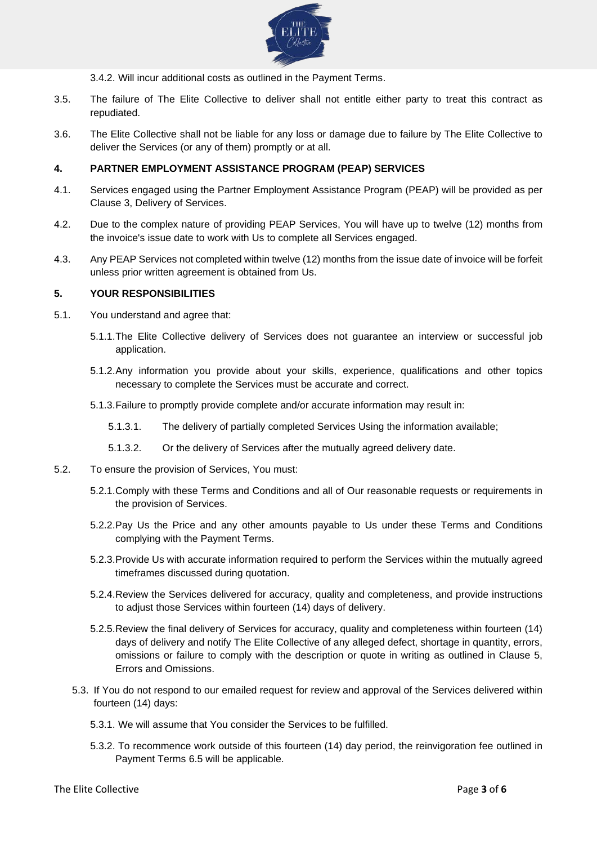

3.4.2. Will incur additional costs as outlined in the Payment Terms.

- 3.5. The failure of The Elite Collective to deliver shall not entitle either party to treat this contract as repudiated.
- 3.6. The Elite Collective shall not be liable for any loss or damage due to failure by The Elite Collective to deliver the Services (or any of them) promptly or at all.

# **4. PARTNER EMPLOYMENT ASSISTANCE PROGRAM (PEAP) SERVICES**

- 4.1. Services engaged using the Partner Employment Assistance Program (PEAP) will be provided as per Clause 3, Delivery of Services.
- 4.2. Due to the complex nature of providing PEAP Services, You will have up to twelve (12) months from the invoice's issue date to work with Us to complete all Services engaged.
- 4.3. Any PEAP Services not completed within twelve (12) months from the issue date of invoice will be forfeit unless prior written agreement is obtained from Us.

#### **5. YOUR RESPONSIBILITIES**

- 5.1. You understand and agree that:
	- 5.1.1.The Elite Collective delivery of Services does not guarantee an interview or successful job application.
	- 5.1.2.Any information you provide about your skills, experience, qualifications and other topics necessary to complete the Services must be accurate and correct.
	- 5.1.3.Failure to promptly provide complete and/or accurate information may result in:
		- 5.1.3.1. The delivery of partially completed Services Using the information available;
		- 5.1.3.2. Or the delivery of Services after the mutually agreed delivery date.
- 5.2. To ensure the provision of Services, You must:
	- 5.2.1.Comply with these Terms and Conditions and all of Our reasonable requests or requirements in the provision of Services.
	- 5.2.2.Pay Us the Price and any other amounts payable to Us under these Terms and Conditions complying with the Payment Terms.
	- 5.2.3.Provide Us with accurate information required to perform the Services within the mutually agreed timeframes discussed during quotation.
	- 5.2.4.Review the Services delivered for accuracy, quality and completeness, and provide instructions to adjust those Services within fourteen (14) days of delivery.
	- 5.2.5.Review the final delivery of Services for accuracy, quality and completeness within fourteen (14) days of delivery and notify The Elite Collective of any alleged defect, shortage in quantity, errors, omissions or failure to comply with the description or quote in writing as outlined in Clause 5, Errors and Omissions.
	- 5.3. If You do not respond to our emailed request for review and approval of the Services delivered within fourteen (14) days:
		- 5.3.1. We will assume that You consider the Services to be fulfilled.
		- 5.3.2. To recommence work outside of this fourteen (14) day period, the reinvigoration fee outlined in Payment Terms 6.5 will be applicable.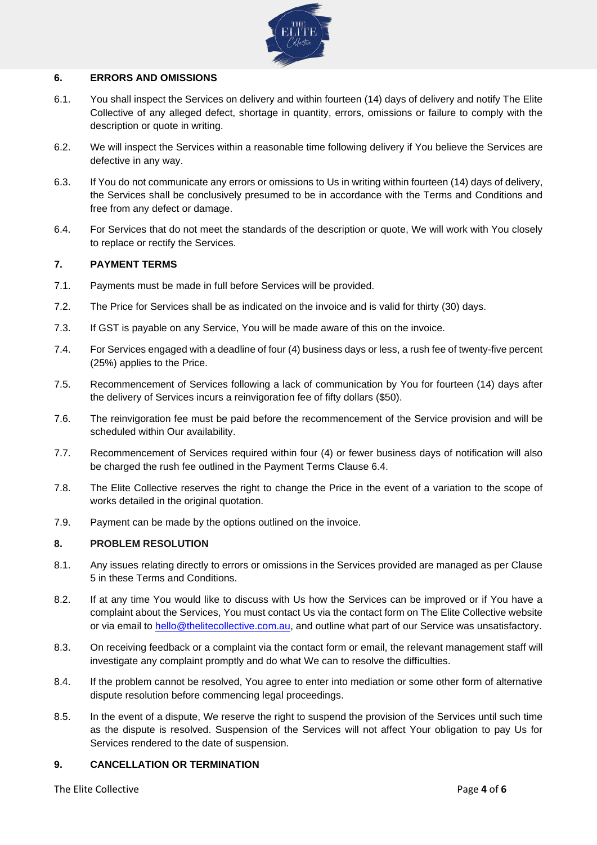

# **6. ERRORS AND OMISSIONS**

- 6.1. You shall inspect the Services on delivery and within fourteen (14) days of delivery and notify The Elite Collective of any alleged defect, shortage in quantity, errors, omissions or failure to comply with the description or quote in writing.
- 6.2. We will inspect the Services within a reasonable time following delivery if You believe the Services are defective in any way.
- 6.3. If You do not communicate any errors or omissions to Us in writing within fourteen (14) days of delivery, the Services shall be conclusively presumed to be in accordance with the Terms and Conditions and free from any defect or damage.
- 6.4. For Services that do not meet the standards of the description or quote, We will work with You closely to replace or rectify the Services.

# **7. PAYMENT TERMS**

- 7.1. Payments must be made in full before Services will be provided.
- 7.2. The Price for Services shall be as indicated on the invoice and is valid for thirty (30) days.
- 7.3. If GST is payable on any Service, You will be made aware of this on the invoice.
- 7.4. For Services engaged with a deadline of four (4) business days or less, a rush fee of twenty-five percent (25%) applies to the Price.
- 7.5. Recommencement of Services following a lack of communication by You for fourteen (14) days after the delivery of Services incurs a reinvigoration fee of fifty dollars (\$50).
- 7.6. The reinvigoration fee must be paid before the recommencement of the Service provision and will be scheduled within Our availability.
- 7.7. Recommencement of Services required within four (4) or fewer business days of notification will also be charged the rush fee outlined in the Payment Terms Clause 6.4.
- 7.8. The Elite Collective reserves the right to change the Price in the event of a variation to the scope of works detailed in the original quotation.
- 7.9. Payment can be made by the options outlined on the invoice.

# **8. PROBLEM RESOLUTION**

- 8.1. Any issues relating directly to errors or omissions in the Services provided are managed as per Clause 5 in these Terms and Conditions.
- 8.2. If at any time You would like to discuss with Us how the Services can be improved or if You have a complaint about the Services, You must contact Us via the contact form on The Elite Collective website or via email to [hello@thelitecollective.com.au,](mailto:hello@thelitecollective.com.au) and outline what part of our Service was unsatisfactory.
- 8.3. On receiving feedback or a complaint via the contact form or email, the relevant management staff will investigate any complaint promptly and do what We can to resolve the difficulties.
- 8.4. If the problem cannot be resolved, You agree to enter into mediation or some other form of alternative dispute resolution before commencing legal proceedings.
- 8.5. In the event of a dispute, We reserve the right to suspend the provision of the Services until such time as the dispute is resolved. Suspension of the Services will not affect Your obligation to pay Us for Services rendered to the date of suspension.

# **9. CANCELLATION OR TERMINATION**

The Elite Collective **Page 4** of **6**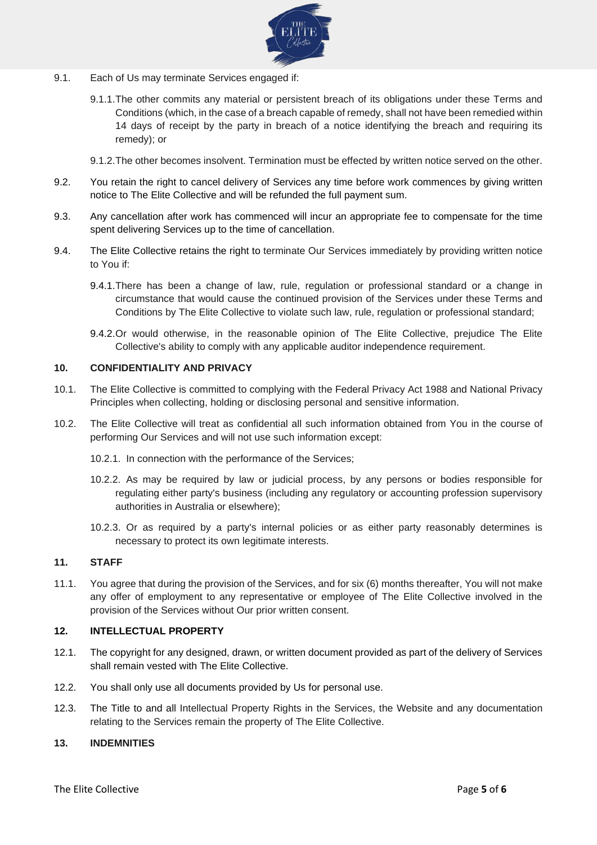

- 9.1. Each of Us may terminate Services engaged if:
	- 9.1.1.The other commits any material or persistent breach of its obligations under these Terms and Conditions (which, in the case of a breach capable of remedy, shall not have been remedied within 14 days of receipt by the party in breach of a notice identifying the breach and requiring its remedy); or
	- 9.1.2.The other becomes insolvent. Termination must be effected by written notice served on the other.
- 9.2. You retain the right to cancel delivery of Services any time before work commences by giving written notice to The Elite Collective and will be refunded the full payment sum.
- 9.3. Any cancellation after work has commenced will incur an appropriate fee to compensate for the time spent delivering Services up to the time of cancellation.
- 9.4. The Elite Collective retains the right to terminate Our Services immediately by providing written notice to You if:
	- 9.4.1.There has been a change of law, rule, regulation or professional standard or a change in circumstance that would cause the continued provision of the Services under these Terms and Conditions by The Elite Collective to violate such law, rule, regulation or professional standard;
	- 9.4.2.Or would otherwise, in the reasonable opinion of The Elite Collective, prejudice The Elite Collective's ability to comply with any applicable auditor independence requirement.

# **10. CONFIDENTIALITY AND PRIVACY**

- 10.1. The Elite Collective is committed to complying with the Federal Privacy Act 1988 and National Privacy Principles when collecting, holding or disclosing personal and sensitive information.
- 10.2. The Elite Collective will treat as confidential all such information obtained from You in the course of performing Our Services and will not use such information except:
	- 10.2.1. In connection with the performance of the Services;
	- 10.2.2. As may be required by law or judicial process, by any persons or bodies responsible for regulating either party's business (including any regulatory or accounting profession supervisory authorities in Australia or elsewhere);
	- 10.2.3. Or as required by a party's internal policies or as either party reasonably determines is necessary to protect its own legitimate interests.

# **11. STAFF**

11.1. You agree that during the provision of the Services, and for six (6) months thereafter, You will not make any offer of employment to any representative or employee of The Elite Collective involved in the provision of the Services without Our prior written consent.

# **12. INTELLECTUAL PROPERTY**

- 12.1. The copyright for any designed, drawn, or written document provided as part of the delivery of Services shall remain vested with The Elite Collective.
- 12.2. You shall only use all documents provided by Us for personal use.
- 12.3. The Title to and all Intellectual Property Rights in the Services, the Website and any documentation relating to the Services remain the property of The Elite Collective.

# **13. INDEMNITIES**